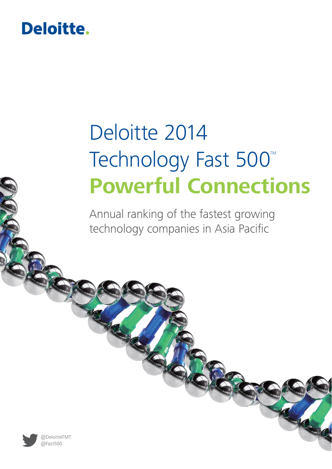# Deloitte.

# Deloitte 2014 Technology Fast 500<sup>™</sup> **Powerful Connections**

Annual ranking of the fastest growing technology companies in Asia Pacific

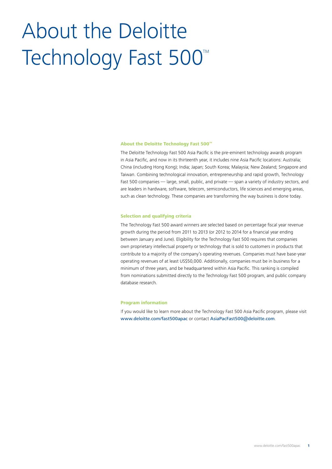# About the Deloitte Technology Fast 500<sup>™</sup>

#### **About the Deloitte Technology Fast 500™**

The Deloitte Technology Fast 500 Asia Pacific is the pre-eminent technology awards program in Asia Pacific, and now in its thirteenth year, it includes nine Asia Pacific locations: Australia; China (including Hong Kong); India; Japan; South Korea; Malaysia; New Zealand; Singapore and Taiwan. Combining technological innovation, entrepreneurship and rapid growth, Technology Fast 500 companies — large, small, public, and private — span a variety of industry sectors, and are leaders in hardware, software, telecom, semiconductors, life sciences and emerging areas, such as clean technology. These companies are transforming the way business is done today.

#### **Selection and qualifying criteria**

The Technology Fast 500 award winners are selected based on percentage fiscal year revenue growth during the period from 2011 to 2013 (or 2012 to 2014 for a financial year ending between January and June). Eligibility for the Technology Fast 500 requires that companies own proprietary intellectual property or technology that is sold to customers in products that contribute to a majority of the company's operating revenues. Companies must have base-year operating revenues of at least US\$50,000. Additionally, companies must be in business for a minimum of three years, and be headquartered within Asia Pacific. This ranking is compiled from nominations submitted directly to the Technology Fast 500 program, and public company database research.

#### **Program information**

If you would like to learn more about the Technology Fast 500 Asia Pacific program, please visit www.deloitte.com/fast500apac or contact AsiaPacFast500@deloitte.com.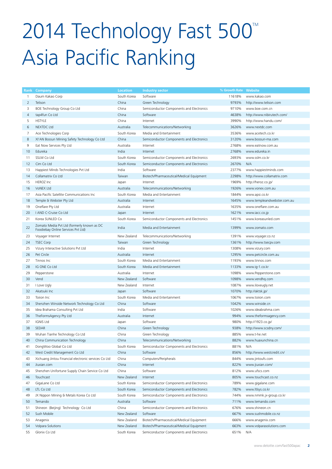# 2014 Technology Fast 500<sup>™</sup> Asia Pacific Ranking

|          | Rank Company                                                                     | <b>Location</b> | <b>Industry sector</b>                   | % Growth Rate Website |                                    |
|----------|----------------------------------------------------------------------------------|-----------------|------------------------------------------|-----------------------|------------------------------------|
| 1        | Daum Kakao Corp                                                                  | South Korea     | Software                                 | 11618%                | www.kakao.com                      |
| 2        | Telison                                                                          | China           | Green Technology                         | 9793%                 | http://www.telison.com             |
| 3        | BOE Technology Group Co Ltd                                                      | China           | Semiconductor Components and Electronics | 9710%                 | www.boe.com.cn                     |
| 4        | tap4fun Co Ltd                                                                   | China           | Software                                 | 4638%                 | http://www.nibirutech.com/         |
| 5        | <b>HSTYLE</b>                                                                    | China           | Internet                                 | 3990%                 | http://www.handu.com/              |
| 6        | <b>NEXTDC Ltd</b>                                                                | Australia       | Telecommunications/Networking            | 3626%                 | www.nextdc.com                     |
| 7        | Ace Technologies Corp                                                            | South Korea     | Media and Entertainment                  | 3536%                 | www.acetech.co.kr                  |
| 8        | XI'AN Bossun Mining Safety Technology Co Ltd                                     | China           | Semiconductor Components and Electronics | 3120%                 | www.bossun-ma.com                  |
| 9        | Eat Now Services Pty Ltd                                                         | Australia       | Internet                                 | 2768%                 | www.eatnow.com.au                  |
| 10       | Edureka                                                                          | India           | Internet                                 | 2768%                 | www.edureka.in                     |
| 11       | SSLM Co Ltd                                                                      | South Korea     | Semiconductor Components and Electronics | 2693%                 | www.sslm.co.kr                     |
| 12       | Cim Co Ltd                                                                       | South Korea     | Semiconductor Components and Electronics | 2670%                 | N/A                                |
| 13       | Happiest Minds Technologies Pvt Ltd                                              | India           | Software                                 | 2377%                 | www.happiestminds.com              |
| 14       | Collamatrix Co Ltd                                                               | Taiwan          | Biotech/Pharmaceutical/Medical Equipment | 2298%                 | http://www.collamatrix.com         |
| 15       | <b>HEROZ Inc</b>                                                                 | Japan           | Internet                                 | 1969%                 | http://heroz.co.jp/                |
| 16       | VoNEX Ltd                                                                        | Australia       | Telecommunications/Networking            | 1926%                 | www.vonex.com.au                   |
| 17       | Asia Pacific Satellite Communications Inc                                        | South Korea     | Media and Entertainment                  | 1844%                 | www.apsi.co.kr                     |
| 18       | Temple & Webster Pty Ltd                                                         | Australia       | Internet                                 | 1645%                 | www.templeandwebster.com.au        |
| 19       | Oneflare Pty Ltd                                                                 | Australia       | Internet                                 | 1635%                 | www.oneflare.com.au                |
| 20       | I AND C-Cruise Co Ltd                                                            | Japan           | Internet                                 | 1621%                 | www.iacc.co.jp                     |
| 21       | Korea SUNLED Co                                                                  | South Korea     | Semiconductor Components and Electronics | 1451%                 | www.koreasunled.com                |
| 22       | Zomato Media Pvt Ltd (formerly known as DC<br>Foodiebay Online Services Pvt Ltd) | India           | Media and Entertainment                  | 1399%                 | www.zomato.com                     |
| 23       | Voyager Internet                                                                 | New Zealand     | Telecommunications/Networking            | 1391%                 | www.voyager.co.nz                  |
| 24       | <b>TSEC Corp</b>                                                                 | Taiwan          | Green Technology                         | 1361%                 | http://www.tsecpv.com              |
| 25       | Vizury Interactive Solutions Pvt Ltd                                             | India           | Internet                                 | 1308%                 | www.vizury.com                     |
| 26       | Pet Circle                                                                       | Australia       | Internet                                 | 1295%                 | www.petcircle.com.au               |
| 27       | Tinnos Inc                                                                       | South Korea     | Media and Entertainment                  | 1193%                 | www.tinnos.com                     |
| 28       | IG ONE Co Ltd                                                                    | South Korea     | Media and Entertainment                  | 1133%                 | www.ig-1.co.kr                     |
| 29       | Pepperstone                                                                      | Australia       | Internet                                 | 1098%                 | www.Pepperstone.com                |
|          |                                                                                  | New Zealand     | Software                                 |                       |                                    |
| 30<br>31 | Vend                                                                             | New Zealand     | Internet                                 | 1098%<br>1087%        | www.vendhq.com                     |
| 32       | I Love Ugly<br>Akatsuki Inc                                                      | Japan           | Software                                 | 1070%                 | www.iloveugly.net                  |
| 33       | Toiion Inc                                                                       | South Korea     | Media and Entertainment                  | 1067%                 | http://aktsk.jp/<br>www.toiion.com |
|          |                                                                                  | China           | Software                                 | 1042%                 | www.winside.cn                     |
| 34<br>35 | Shenzhen Winside Network Technology Co Ltd                                       | India           | Software                                 | 1026%                 | www.ideabrahma.com                 |
|          | Idea Brahama Consulting Pvt Ltd                                                  |                 |                                          |                       | www.theformsagency.com             |
| 36       | TheFormsAgency Pty Ltd                                                           | Australia       | Internet                                 | 994%                  |                                    |
| 37       | <b>IGNIS Ltd</b>                                                                 | Japan           | Software                                 | 980%                  | http://1923.co.jp/                 |
| 38       | SEDAR                                                                            | China           | Green Technology                         | 938%                  | http://www.scsdny.com/             |
| 39       | Wuhan Tianhe Technology Co Ltd                                                   | China           | Green Technology                         | 885%                  | www.t-he.net                       |
| 40       | China Communication Technology                                                   | China           | Telecommunications/Networking            | 882%                  | www.huaxunchina.cn                 |
| 41       | DongWoo Global Co Ltd                                                            | South Korea     | Semiconductor Components and Electronics | 881%                  | N/A                                |
| 42       | West Credit Management Co Ltd                                                    | China           | Software                                 | 856%                  | http://www.westcredit.cn/          |
| 43       | Xichuang Jintou Financial electronic services Co Ltd                             | China           | Computers/Peripherals                    | 844%                  | www.jintoufs.com                   |
| 44       | Jiuxian.com                                                                      | China           | Internet                                 | 822%                  | www.jiuxian.com/                   |
| 45       | Shenzhen Unifortune Supply Chain Service Co Ltd                                  | China           | Software                                 | 812%                  | www.ufscs.com                      |
| 46       | Touchcast                                                                        | New Zealand     | Internet                                 | 805%                  | www.touchcast.co.nz                |
| 47       | GigaLane Co Ltd                                                                  | South Korea     | Semiconductor Components and Electronics | 789%                  | www.gigalane.com                   |
| 48       | LTL Co Ltd                                                                       | South Korea     | Semiconductor Components and Electronics | 782%                  | www.ltlsys.co.kr                   |
| 49       | JX Nippon Mining & Metals Korea Co Ltd                                           | South Korea     | Semiconductor Components and Electronics | 744%                  | www.nmmk.jx-group.co.kr            |
| 50       | Temando                                                                          | Australia       | Software                                 | 711%                  | www.temando.com                    |
| 51       | Shineon (Beijing) Technology Co Ltd                                              | China           | Semiconductor Components and Electronics | 676%                  | www.shineon.cn                     |
| 52       | Sush Mobile                                                                      | New Zealand     | Software                                 | 667%                  | www.sushmobile.co.nz               |
| 53       | Anagenix                                                                         | New Zealand     | Biotech/Pharmaceutical/Medical Equipment | 666%                  | www.anagenix.com                   |
| 54       | Volpara Solutions                                                                | New Zealand     | Biotech/Pharmaceutical/Medical Equipment | 663%                  | www.volparasolutions.com           |
| 55       | Glonix Co Ltd                                                                    | South Korea     | Semiconductor Components and Electronics | 651%                  | N/A                                |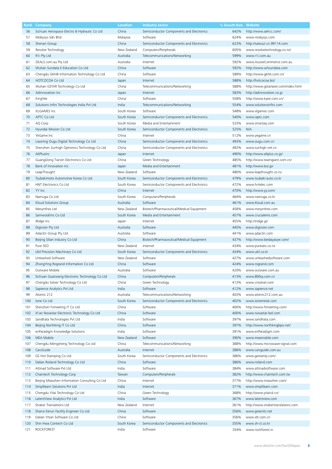| Rank | Company                                        | Location    | <b>Industry sector</b>                   | % Growth Rate | Website                              |
|------|------------------------------------------------|-------------|------------------------------------------|---------------|--------------------------------------|
| 56   | Sichuan Aerospace Electro & Hydraulic Co Ltd   | China       | Semiconductor Components and Electronics | 642%          | http://www.aehcc.com/                |
| 57   | Mobysys Sdn Bhd                                | Malaysia    | Software                                 | 624%          | www.mobysys.com                      |
| 58   | Shenan Group                                   | China       | Semiconductor Components and Electronics | 623%          | http://satouzi.cn.99114.com          |
|      |                                                |             |                                          |               |                                      |
| 59   | Resolve Technology                             | New Zealand | Computers/Peripherals                    | 605%          | www.resolvetechnology.co.nz/         |
| 60   | R <sub>1</sub> Pty Ltd                         | Australia   | Telecommunications/Networking            | 599%          | www.r1i.com.au                       |
| 61   | DEALS.com.au Pty Ltd                           | Australia   | Internet                                 | 592%          | www.AussieCommerce.com.au            |
| 62   | Wuhan Sundata E-Education Co Ltd               | China       | Software                                 | 592%          | http://www.whsundata.com             |
| 63   | Chengdu GKHB Information Technology Co Ltd     | China       | Software                                 | 589%          | http://www.gkhb.com.cn/              |
| 64   | HOTCOCOA Co Ltd                                | Japan       | Internet                                 | 588%          | http://hotcocoa.biz/                 |
|      |                                                | China       | Telecommunications/Networking            | 588%          | http://www.qstarlaser.com/index.html |
| 65   | Wuhan GSTAR Technology Co Ltd                  |             |                                          |               |                                      |
| 66   | Adinnovation Inc                               | Japan       | Internet                                 | 583%          | http://adinnovation.co.jp            |
| 67   | KingYee                                        | China       | Software                                 | 558%          | http://www.kyee.com.cn/              |
| 68   | Solutions Infini Technologies India Pvt Ltd    | India       | Telecommunications/Networking            | 554%          | www.solutionsinfini.com              |
| 69   | XLGAMES Inc                                    | South Korea | Software                                 | 548%          | www.xlgames.com                      |
| 70   | APTC Co Ltd                                    | South Korea | Semiconductor Components and Electronics | 540%          | www.iaptc.com                        |
|      |                                                |             |                                          |               |                                      |
| 71   | AQ Corp                                        | South Korea | Media and Entertainment                  | 533%          | www.smartaq.com                      |
| 72   | Hyundai Mission Co Ltd                         | South Korea | Semiconductor Components and Electronics | 525%          | N/A                                  |
| 73   | YeGame Inc                                     | China       | Internet                                 | 512%          | www.yegame.cn                        |
| 74   | Liaoning Ougu Digital Technology Co Ltd        | China       | Semiconductor Components and Electronics | 493%          | www.ougu.com.cn                      |
| 75   | Shenzhen Sunhigh Optronics Technology Co Ltd   | China       | Semiconductor Components and Electronics | 492%          | www.sunhigh.net.cn                   |
| 76   | AltPlusInc                                     | Japan       | Internet                                 | 490%          | http://www.altplus.co.jp/            |
|      |                                                |             |                                          |               |                                      |
| 77   | GuangDong TianJin Electronics Co Ltd           | China       | Green Technology                         | 485%          | http://www.teamgiant.com.cn/         |
| 78   | Bank of Innovation Inc                         | Japan       | Media and Entertainment                  | 481%          | http://www.boi.jp/                   |
| 79   | LeapThought                                    | New Zealand | Software                                 | 480%          | www.leapthought.co.nz                |
| 80   | Tsubakimoto Automotive Korea Co Ltd            | South Korea | Semiconductor Components and Electronics | 479%          | www.tsubaki-auto.co.kr               |
| 81   | HNT Electronics Co Ltd                         | South Korea | Semiconductor Components and Electronics | 472%          | www.hntelec.com                      |
| 82   | YY Inc                                         | China       | Internet                                 | 470%          | http://www.yy.com/                   |
|      |                                                |             |                                          |               |                                      |
| 83   | Namuga Co Ltd                                  | South Korea | Computers/Peripherals                    | 464%          | www.namuga.co.kr                     |
| 84   | Kloud Solutions Group                          | Australia   | Software                                 | 461%          | www.kloud.com.au                     |
| 85   | Mesynthes Ltd                                  | New Zealand | Biotech/Pharmaceutical/Medical Equipment | 458%          | www.mesynthes.com                    |
| 86   | SamwooEms Co Ltd                               | South Korea | Media and Entertainment                  | 457%          | www.crucialems.com                   |
| 87   | iRidge Inc                                     | Japan       | Internet                                 | 455%          | http://iridge.jp/                    |
| 88   | Digivizer Pty Ltd                              | Australia   | Software                                 | 445%          | www.digivizer.com                    |
|      |                                                |             |                                          |               |                                      |
| 89   | Adactin Group Pty Ltd                          | Australia   | Software                                 | 441%          | www.adactin.com                      |
| 90   | Beijing Silian Industry Co Ltd                 | China       | Biotech/Pharmaceutical/Medical Equipment | 437%          | http://www.beidayaoye.com/           |
| 91   | Pure SEO                                       | New Zealand | Internet                                 | 434%          | www.pureseo.co.nz                    |
| 92   | Ukil Precision Machinary Co Ltd                | South Korea | Semiconductor Components and Electronics | 434%          | www.ukil.co.kr                       |
| 93   | Unleashed Software                             | New Zealand | Software                                 | 427%          | www.unleashedsoftware.com            |
| 94   | ZhongYing Rogrand Information Co Ltd           | China       | Software                                 | 424%          | www.rogrand.com                      |
|      |                                                |             |                                          |               |                                      |
| 95   | Outware Mobile                                 | Australia   | Software                                 | 420%          | www.outware.com.au                   |
| 96   | Sichuan Guanxiang Electronic Technology Co Ltd | China       | Computers/Peripherals                    | 413%          | www.800sy.com.cn                     |
| 97   | Chengdu Solver Technology Co Ltd               | China       | Green Technology                         | 413%          | www.cnsolver.com                     |
| 98   | Sapience Analytics Pvt Ltd                     | India       | Software                                 | 412%          | www.sapience.net                     |
| 99   | Atomic 212                                     | Australia   | Telecommunications/Networking            | 403%          | www.atomic212.com.au                 |
| 100  |                                                | South Korea |                                          | 402%          | www.ionemetal.com                    |
|      | Ione Co Ltd                                    |             | Semiconductor Components and Electronics |               |                                      |
| 101  | Shenzhen Fsmeeting IT Co Ltd                   | China       | Software                                 | 400%          | http://www.fsmeeting.com/            |
| 102  | Xi'an Novastar Electronic Technology Co Ltd    | China       | Software                                 | 400%          | www.novastar-led.com                 |
| 103  | Sandhata Technologies Pvt Ltd                  | India       | Software                                 | 397%          | www.sandhata.com                     |
| 104  | Beijing Northking IT Co Ltd                    | China       | Software                                 | 397%          | http://www.northkingbpo.net/         |
| 105  | enParadigm Knowledge Solutions                 | India       | Software                                 | 391%          | www.enParadigm.com                   |
|      |                                                |             |                                          |               |                                      |
| 106  | MEA Mobile                                     | New Zealand | Software                                 | 390%          | www.meamobile.com                    |
| 107  | Chengdu Mengsheng Technology Co Ltd            | China       | Telecommunications/Networking            | 388%          | http://www.microwave-signal.com      |
| 108  | CarsGuide                                      | Australia   | Internet                                 | 388%          | www.carsguide.com.au                 |
| 109  | GS Hot Stamping Co Ltd                         | South Korea | Semiconductor Components and Electronics | 386%          | www.gestamp.com/                     |
| 110  | Dalian Roiland Technology Co Ltd               | China       | Software                                 | 386%          | www.roiland.com                      |
|      | Attinad Software Pvt Ltd                       | India       | Software                                 | 384%          | www.attinadsoftware.com              |
| 111  |                                                |             |                                          |               |                                      |
| 112  | Chaintech Technology Corp                      | Taiwan      | Computers/Peripherals                    | 382%          | http://www.chaintech.com.tw          |
| 113  | Beijing Miaozhen Information Consulting Co Ltd | China       | Internet                                 | 377%          | http://www.miaozhen.com/             |
| 114  | Simplilearn Solutions Pvt Ltd                  | India       | Internet                                 | 371%          | www.simplilearn.com                  |
| 115  | Chengdu Yitai Technology Co Ltd                | China       | Green Technology                         | 368%          | http://www.yitaicd.cn/               |
| 116  | LatentView Analytics Pvt Ltd                   | India       | Software                                 | 367%          | www.latentview.com                   |
| 117  | Straker Translations Ltd                       | New Zealand | Internet                                 | 361%          | http://www.strakertranslations.com   |
|      |                                                |             |                                          |               |                                      |
| 118  | Shanxi Kerun Facility Engineer Co Ltd          | China       | Software                                 | 356%          | www.greenits.net                     |
| 119  | Dalian Yitian Software Co Ltd                  | China       | Software                                 | 356%          | www.idt.com.cn                       |
| 120  | Shin Hwa Contech Co Ltd                        | South Korea | Semiconductor Components and Electronics | 355%          | www.sh-ct.co.kr                      |
| 121  | <b>ROCKFOREST</b>                              | India       | Software                                 | 354%          | www.rockforest.in                    |
|      |                                                |             |                                          |               |                                      |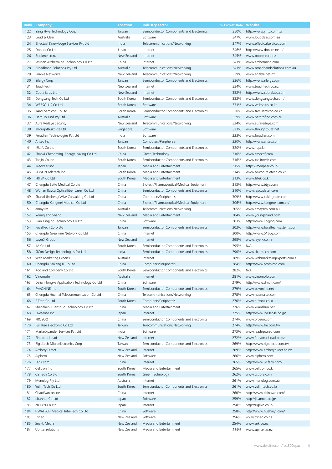| Rank | Company                                     | Location    | <b>Industry sector</b>                   | % Growth Rate | Website                          |
|------|---------------------------------------------|-------------|------------------------------------------|---------------|----------------------------------|
| 122  | Yang Hwa Technology Corp                    | Taiwan      | Semiconductor Components and Electronics | 350%          | http://www.yhtc.com.tw           |
| 123  | Loud & Clear                                | Australia   | Software                                 | 347%          | www.loudclear.com.au             |
|      |                                             |             |                                          |               |                                  |
| 124  | Effectual Knowledge Services Pvt Ltd        | India       | Telecommunications/Networking            | 347%          | www.effectualservices.com        |
| 125  | Donuts Co Ltd                               | Japan       | Internet                                 | 346%          | http://www.donuts.ne.jp/         |
| 126  | Bookme.co.nz                                | New Zealand | Internet                                 | 345%          | www.bookme.co.nz                 |
| 127  | Wuhan Archermind Technology Co Ltd          | China       | Internet                                 | 343%          | www.archermind.com               |
| 128  | Broadband Solutions Pty Ltd                 | Australia   | Telecommunications/Networking            | 341%          | www.broadbandsolutions.com.au    |
| 129  | Enable Networks                             | New Zealand | Telecommunications/Networking            | 339%          | www.enable.net.nz                |
|      |                                             |             |                                          |               |                                  |
| 130  | Silergy Corp                                | Taiwan      | Semiconductor Components and Electronics | 336%          | http://www.silergy.com           |
| 131  | Touchtech                                   | New Zealand | Internet                                 | 334%          | www.touchtech.co.nz              |
| 132  | Cobra Labs Ltd                              | New Zealand | Internet                                 | 332%          | http://www.cobralabs.com         |
| 133  | Dongsung Tech Co Ltd                        | South Korea | Semiconductor Components and Electronics | 332%          | www.dongsungtech.com/            |
| 134  | <b>WEBSOLUS Co Ltd</b>                      | South Korea | Software                                 | 331%          | www.websolus.co.kr               |
| 135  | TAMI Semicon Co Ltd                         | South Korea |                                          | 330%          | www.tamisemicon.co.kr            |
|      |                                             |             | Semiconductor Components and Electronics |               |                                  |
| 136  | Hard To Find Pty Ltd                        | Australia   | Software                                 | 329%          | www.hardtofind.com.au            |
| 137  | Aura RedEye Security                        | New Zealand | Telecommunications/Networking            | 324%          | www.auraredeye.com               |
| 138  | Thoughtbuzz Pte Ltd                         | Singapore   | Software                                 | 323%          | www.thoughtbuzz.net              |
| 139  | Foradian Technologies Pvt Ltd               | India       | Software                                 | 323%          | www.foradian.com                 |
| 140  | Antec Inc                                   | Taiwan      | Computers/Peripherals                    | 320%          | http://www.antec.com             |
|      | <b>IRUJA Co Ltd</b>                         | South Korea |                                          | 320%          |                                  |
| 141  |                                             |             | Semiconductor Components and Electronics |               | www.iruja.kr                     |
| 142  | Shanxi Chengming Energy -saving Co Ltd      | China       | Green Technology                         | 316%          | www.cmecgf.com                   |
| 143  | Taejin Co Ltd                               | South Korea | Semiconductor Components and Electronics | 316%          | www.taejintech.com               |
| 144  | MedPeer Inc                                 | Japan       | Media and Entertainment                  | 315%          | https://medpeer.co.jp/           |
| 145  | SEWON Teletech Inc                          | South Korea | Media and Entertainment                  | 314%          | www.sewon-teletech.co.kr         |
| 146  | <b>FRTEK Co Ltd</b>                         | South Korea | Media and Entertainment                  | 313%          | www.frtek.co.kr                  |
|      |                                             |             |                                          |               |                                  |
| 147  | Chengdu Beite Medical Co Ltd                | China       | Biotech/Pharmaceutical/Medical Equipment | 313%          | http://www.btyy.com/             |
| 148  | Wuhan Raycu Opticalfiber Laser Co Ltd       | China       | Semiconductor Components and Electronics | 310%          | www.raycuslaser.com              |
| 149  | Shanxi Jinzheng Wise Consulting Co Ltd      | China       | Computers/Peripherals                    | 309%          | http://www.xakingdom.com         |
| 150  | Chengdu Kangmei Medical Co Ltd              | China       | Biotech/Pharmaceutical/Medical Equipment | 306%          | http://www.kangmei.com.cn/       |
| 151  | amaysim                                     | Australia   | Telecommunications/Networking            | 305%          | www.amaysim.com.au               |
| 152  | Young and Shand                             | New Zealand | Media and Entertainment                  | 304%          | www.youngshand.com               |
|      |                                             |             |                                          |               |                                  |
| 153  | Xian Lingjing Technology Co Ltd             | China       | Software                                 | 303%          | http://www.lingjing.com          |
| 154  | FocalTech Corp Ltd                          | Taiwan      | Semiconductor Components and Electronics | 302%          | http://www.focaltech-systems.com |
| 155  | Chengdu Greenline Network Co Ltd            | China       | Internet                                 | 300%          | http://www.51bcg.com             |
| 156  | LayerX Group                                | New Zealand | Internet                                 | 295%          | www.layerx.co.nz                 |
| 157  | IM Co Ltd                                   | South Korea | Semiconductor Components and Electronics | 295%          | N/A                              |
| 158  | SiCon Design Technologies Pvt Ltd           | India       | Semiconductor Components and Electronics | 290%          | www.sicontech.com                |
|      |                                             |             |                                          |               |                                  |
| 159  | Web Marketing Experts                       | Australia   | Internet                                 | 289%          | www.webmarketingexperts.com.au   |
| 160  | Chengdu Saikang IT Co Ltd                   | China       | Computers/Peripherals                    | 284%          | http://www.scominfo.com          |
| 161  | Koo and Company Co Ltd                      | South Korea | Semiconductor Components and Electronics | 282%          | N/A                              |
| 162  | Vinomofo                                    | Australia   | Internet                                 | 281%          | www.vinomofo.com                 |
| 163  | Dalian Tongke Application Technology Co Ltd | China       | Software                                 | 279%          | http://www.dmuit.com/            |
| 164  | PAVONINE Inc                                | South Korea | Semiconductor Components and Electronics | 279%          | www.pavonine.net                 |
|      |                                             |             |                                          |               |                                  |
| 165  | Chengdu Huamai Telecommunication Co Ltd     | China       | Telecommunications/Networking            | 278%          | www.huamaitel.con                |
| 166  | E-Tron Co Ltd                               | South Korea | Computers/Peripherals                    | 276%          | www.e-trons.co.kr                |
| 167  | Shenzhen Xuanshuo Technology Co Ltd         | China       | Media and Entertainment                  | 276%          | www.xuanshuo.net                 |
| 168  | Livesense Inc                               | Japan       | Internet                                 | 275%          | http://www.livesense.co.jp/      |
| 169  | <b>PROSOO</b>                               | China       | Semiconductor Components and Electronics | 274%          | www.prosoo.com                   |
| 170  | Full Rise Electronic Co Ltd                 | Taiwan      | Telecommunications/Networking            | 274%          | http://www.fre.com.tw            |
|      |                                             |             |                                          |               |                                  |
| 171  | Marketxpander Services Pvt Ltd              | India       | Software                                 | 273%          | www.leadsquared.com              |
| 172  | Findatruckload                              | New Zealand | Internet                                 | 272%          | www.findatruckload.co.nz         |
| 173  | Rigidtech Microelectronics Corp             | Taiwan      | Semiconductor Components and Electronics | 269%          | http://www.rigidtech.com.tw      |
| 174  | Archery Direct                              | New Zealand | Internet                                 | 269%          | http://www.archerydirect.co.nz   |
| 175  | Alphero                                     | New Zealand | Software                                 | 266%          | www.alphero.com                  |
| 176  | Fanli.com                                   | China       | Internet                                 | 265%          | http://www.51fanli.com/          |
|      |                                             |             |                                          |               |                                  |
| 177  | Celltron Inc                                | South Korea | Media and Entertainment                  | 265%          | www.celltron.co.kr               |
| 178  | CS Tech Co Ltd                              | South Korea | Green Technology                         | 262%          | www.cspore.com                   |
| 179  | Menulog Pty Ltd                             | Australia   | Internet                                 | 261%          | www.menulog.com.au               |
| 180  | YulimTech Co Ltd                            | South Korea | Semiconductor Components and Electronics | 261%          | www.yulimtech.co.kr              |
| 181  | ChaoWan online                              | China       | Internet                                 | 260%          | http://www.chinawq.com/          |
|      |                                             |             |                                          |               |                                  |
| 182  | Jibannet Co Ltd                             | Japan       | Software                                 | 259%          | http://jibannet.co.jp/           |
| 183  | ZIGExN Co Ltd                               | Japan       | Internet                                 | 258%          | http://zigexn.co.jp/             |
| 184  | HWATECH Medical Info-Tech Co Ltd            | China       | Software                                 | 258%          | http://www.huahaiyt.com/         |
| 185  | Trineo                                      | New Zealand | Software                                 | 256%          | www.trineo.co.nz                 |
| 186  | Snakk Media                                 | New Zealand | Media and Entertainment                  | 254%          | www.snk.co.nz                    |
| 187  | Uprise Solutions                            | New Zealand | Media and Entertainment                  | 254%          | www.uprise.co.nz                 |
|      |                                             |             |                                          |               |                                  |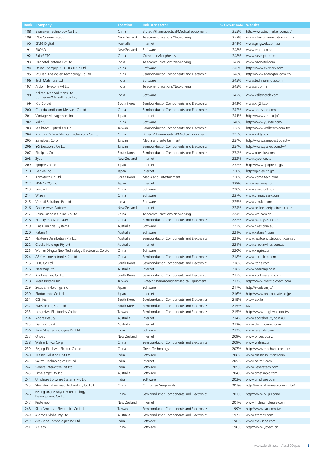| Rank | Company                                                    | <b>Location</b> | <b>Industry sector</b>                   | % Growth Rate | Website                        |
|------|------------------------------------------------------------|-----------------|------------------------------------------|---------------|--------------------------------|
| 188  | Biomaker Technology Co Ltd                                 | China           | Biotech/Pharmaceutical/Medical Equipment | 253%          | http://www.biomarker.com.cn/   |
| 189  | Vibe Communications                                        | New Zealand     | Telecommunications/Networking            | 252%          | www.vibecommunications.co.nz   |
|      |                                                            |                 |                                          |               |                                |
| 190  | <b>GMG Digital</b>                                         | Australia       | Internet                                 | 249%          | www.gmgweb.com.au              |
| 191  | EROAD                                                      | New Zealand     | Software                                 | 248%          | www.eroad.co.nz                |
| 192  | RaiseEPTC                                                  | China           | Computers/Peripherals                    | 248%          | www.raiseeptc.com              |
| 193  | Ozonetel Systems Pvt Ltd                                   | India           | Telecommunications/Networking            | 247%          | www.ozonetel.com               |
| 194  | Dalian Everspry SCI & TECH Co Ltd                          | China           | Software                                 | 246%          | http://www.everspry.com        |
| 195  | WuHan AnalogTek Technology Co Ltd                          | China           | Semiconductor Components and Electronics | 246%          | http://www.analogtek.com.cn/   |
| 196  | Tech Mahindra Ltd                                          | India           | Software                                 | 243%          | www.techmahindra.com           |
|      | Ardom Telecom Pvt Ltd                                      | India           |                                          | 243%          | www.ardom.in                   |
| 197  |                                                            |                 | Telecommunications/Networking            |               |                                |
| 198  | Kellton Tech Solutions Ltd<br>(formerly-VMF Soft Tech Ltd) | India           | Software                                 | 242%          | www.kelltontech.com            |
| 199  | KnJ Co Ltd                                                 | South Korea     | Semiconductor Components and Electronics | 242%          | www.knj21.com                  |
| 200  | Chendu Andisoon Measure Co Ltd                             | China           | Semiconductor Components and Electronics | 242%          | www.andisoon.com               |
| 201  | Vantage Management Inc                                     | Japan           | Internet                                 | 241%          | http://www.v-m.co.jp/          |
| 202  | Yulintu                                                    | China           | Software                                 | 240%          | http://www.yulintu.com/        |
| 203  | Wellstech Optical Co Ltd                                   | Taiwan          | Semiconductor Components and Electronics | 236%          | http://www.wellstech.com.tw    |
|      |                                                            |                 |                                          |               |                                |
| 204  | Kontour (Xi'an) Medical Technology Co Ltd                  | China           | Biotech/Pharmaceutical/Medical Equipment | 235%          | www.xaktyl.com                 |
| 205  | Samebest Corp                                              | Taiwan          | Media and Entertainment                  | 234%          | http://www.samebest.com.tw     |
| 206  | Y-S Electronic Co Ltd                                      | Taiwan          | Semiconductor Components and Electronics | 234%          | http://www.yselec.com.tw/      |
| 207  | Pixelplus Co Ltd                                           | South Korea     | Semiconductor Components and Electronics | 234%          | www.pixelplus.com              |
| 208  | Zyber                                                      | New Zealand     | Internet                                 | 232%          | www.zyber.co.nz                |
| 209  | Spopre Co Ltd                                              | Japan           | Internet                                 | 232%          | http://www.spopre.co.jp/       |
|      |                                                            |                 |                                          |               |                                |
| 210  | Geniee Inc                                                 | Japan           | Internet                                 | 230%          | http://geniee.co.jp/           |
| 211  | Komatech Co Ltd                                            | South Korea     | Media and Entertainment                  | 230%          | www.koma-tech.com              |
| 212  | NANAROQ Inc                                                | Japan           | Internet                                 | 229%          | www.nanarog.com                |
| 213  | SeedSoft                                                   | China           | Software                                 | 228%          | www.sxwdsoft.com               |
| 214  | WiServ                                                     | China           | Software                                 | 227%          | www.chinawiserv.com            |
|      |                                                            | India           |                                          |               |                                |
| 215  | Vmukti Solutions Pvt Ltd                                   |                 | Software                                 | 225%          | www.vmukti.com                 |
| 216  | <b>Online Asset Partners</b>                               | New Zealand     | Internet                                 | 224%          | www.onlineassetpartners.co.nz  |
| 217  | China Unicom Online Co Ltd                                 | China           | Telecommunications/Networking            | 224%          | www.wo.com.cn                  |
| 218  | Huaray Precision Laser                                     | China           | Semiconductor Components and Electronics | 222%          | www.huaraylaser.com            |
| 219  | Class Financial Systems                                    | Australia       | Software                                 | 222%          | www.class.com.au               |
| 220  | Katana1                                                    | Australia       | Software                                 | 221%          | www.katana1.com                |
| 221  | Nextgen Distribution Pty Ltd                               | Australia       | Semiconductor Components and Electronics | 221%          | www.nextgendistribution.com.au |
|      |                                                            |                 |                                          |               |                                |
| 222  | Cracka Holdings Pty Ltd                                    | Australia       | Internet                                 | 221%          | www.crackawines.com.au         |
| 223  | Wuhan Xingtu New Technology Electronics Co Ltd             | China           | Software                                 | 220%          | www.xingtu.com                 |
| 224  | ARK Microelectronics Co Ltd                                | China           | Semiconductor Components and Electronics | 218%          | www.ark-micro.com              |
| 225  | DHC Co Ltd                                                 | South Korea     | Semiconductor Components and Electronics | 218%          | www.itdhe.com                  |
| 226  | Nearmap Ltd                                                | Australia       | Internet                                 | 218%          | www.nearmap.com                |
| 227  | Kunhwa Eng Co Ltd                                          | South Korea     | Semiconductor Components and Electronics | 217%          | www.kunhwa-eng.com             |
|      |                                                            |                 |                                          |               |                                |
| 228  | Merit Biotech Inc                                          | Taiwan          | Biotech/Pharmaceutical/Medical Equipment | 217%          | http://www.merit-biotech.com   |
| 229  | S-cubism Holdings Inc                                      | Japan           | Software                                 | 217%          | http://s-cubism.jp/            |
| 230  | Photocreate Co Ltd                                         | Japan           | Internet                                 | 216%          | http://www.photocreate.co.jp/  |
| 231  | CSK Inc                                                    | South Korea     | Semiconductor Components and Electronics | 215%          | www.csk.kr                     |
| 232  | Hyoshin Logis Co Ltd                                       | South Korea     | Semiconductor Components and Electronics | 215%          | N/A                            |
| 233  | Lung Hwa Electronics Co Ltd                                | Taiwan          | Semiconductor Components and Electronics | 215%          | http://www.lunghwa.com.tw      |
|      | Adore Beauty                                               | Australia       |                                          | 214%          |                                |
| 234  |                                                            |                 | Internet                                 |               | www.adorebeauty.com.au         |
| 235  | DesignCrowd                                                | Australia       | Internet                                 | 213%          | www.designcrowd.com            |
| 236  | Rare Mile Technologies Pvt Ltd                             | India           | Software                                 | 213%          | www.raremile.com               |
| 237  | Onceit                                                     | New Zealand     | Internet                                 | 209%          | www.onceit.co.nz               |
| 238  | Walsin Lihwa Corp                                          | China           | Semiconductor Components and Electronics | 209%          | www.walsin.com                 |
| 239  | Beijing Etechwin Electric Co Ltd                           | China           | Green Technology                         | 207%          | http://www.etechwin.com.cn/    |
|      | Triassic Solutions Pvt Ltd                                 | India           | Software                                 | 206%          | www.triassicsolutions.com      |
| 240  |                                                            |                 |                                          |               |                                |
| 241  | Sokrati Technologies Pvt Ltd                               | India           | Internet                                 | 205%          | www.sokrati.com                |
| 242  | Vehere Interactive Pvt Ltd                                 | India           | Software                                 | 205%          | www.veheretech.com             |
| 243  | TimeTarget Pty Ltd                                         | Australia       | Software                                 | 204%          | www.timetarget.com             |
| 244  | Uniphore Software Systems Pvt Ltd                          | India           | Software                                 | 203%          | www.uniphore.com               |
| 245  | Shenzhen Zhuo mao Technology Co Ltd                        | China           | Computers/Peripherals                    | 201%          | http://www.zhuomao.com.cn/cn/  |
|      |                                                            |                 |                                          |               |                                |
| 246  | Beijing Jingjie Royce & Technology<br>Development Co Ltd   | China           | Semiconductor Components and Electronics | 201%          | http://www.bj-jjrs.com/        |
| 247  | Protempo                                                   | New Zealand     | Internet                                 | 201%          | www.firstinwholesale.com       |
| 248  | Sino-American Electronics Co Ltd                           | Taiwan          | Semiconductor Components and Electronics | 199%          | http://www.sac.com.tw          |
| 249  | Atomos Global Pty Ltd                                      | Australia       | Semiconductor Components and Electronics | 197%          | www.atomos.com                 |
| 250  | Avekshaa Technologies Pvt Ltd                              | India           | Software                                 | 196%          | www.avekshaa.com               |
|      | YBTech                                                     | China           | Software                                 | 196%          | http://www.ybtech.cn           |
| 251  |                                                            |                 |                                          |               |                                |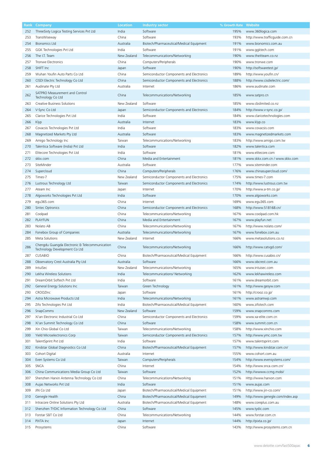| Rank | Company                                                                         | <b>Location</b> | <b>Industry sector</b>                   | % Growth Rate | <b>Website</b>                   |
|------|---------------------------------------------------------------------------------|-----------------|------------------------------------------|---------------|----------------------------------|
| 252  | ThreeSixty Logica Testing Services Pvt Ltd                                      | India           | Software                                 | 195%          | www.360logica.com                |
| 253  | TransWiseway                                                                    | China           | Software                                 | 193%          | http://www.trafficguide.com.cn   |
| 254  | <b>Bionomics Ltd</b>                                                            | Australia       | Biotech/Pharmaceutical/Medical Equipment | 191%          | www.bionomics.com.au             |
|      |                                                                                 |                 |                                          |               |                                  |
| 255  | GGK Technologies Pvt Ltd                                                        | India           | Software                                 | 191%          | www.ggktech.com                  |
| 256  | The I.T. Team                                                                   | New Zealand     | Telecommunications/Networking            | 190%          | www.theitteam.co.nz              |
| 257  | <b>Tronwe Electronics</b>                                                       | China           | Computers/Peripherals                    | 190%          | www.tronwe.com                   |
| 258  | SHIFT Inc                                                                       | Japan           | Software                                 | 190%          | http://softwaretest.jp/          |
| 259  | Wuhan Youfin Auto Parts Co Ltd                                                  | China           | Semiconductor Components and Electronics | 189%          | http://www.youfin.cn/            |
| 260  | CISDI Electric Technology Co Ltd                                                | China           | Semiconductor Components and Electronics | 188%          | http://www.cisdielectric.com/    |
| 261  | Audinate Pty Ltd                                                                | Australia       | Internet                                 | 186%          | www.audinate.com                 |
|      | SATPRO Measurement and Control                                                  |                 |                                          |               |                                  |
| 262  | Technology Co Ltd                                                               | China           | Telecommunications/Networking            | 185%          | www.satpro.cn                    |
|      | Creative Business Solutions                                                     | New Zealand     | Software                                 | 185%          | www.cbslimited.co.nz             |
| 263  |                                                                                 |                 |                                          |               |                                  |
| 264  | V-Sync Co Ltd                                                                   | Japan           | Semiconductor Components and Electronics | 184%          | http://www.v-sync.co.jp/         |
| 265  | Clarice Technologies Pvt Ltd                                                    | India           | Software                                 | 184%          | www.claricetechnologies.com      |
| 266  | Klyp                                                                            | Australia       | Internet                                 | 183%          | www.klyp.co                      |
| 267  | Covacsis Technologies Pvt Ltd                                                   | India           | Software                                 | 183%          | www.covacsis.com                 |
| 268  | Magnetized Markets Pty Ltd                                                      | Australia       | Software                                 | 183%          | www.magnetizedmarkets.com        |
| 269  | Amigo Technology Inc                                                            | Taiwan          | Telecommunications/Networking            | 183%          | http://www.amigo.com.tw          |
| 270  | Talentica Software (India) Pvt Ltd                                              | India           | Software                                 | 182%          | www.talentica.com                |
|      |                                                                                 |                 | Software                                 |               | www.elitecore.com                |
| 271  | Elitecore Technologies Pvt Ltd                                                  | India           |                                          | 181%          |                                  |
| 272  | skkx.com                                                                        | China           | Media and Entertainment                  | 181%          | www.skkx.com.cn / www.skkx.com   |
| 273  | SiteMinder                                                                      | Australia       | Software                                 | 177%          | www.siteminder.com               |
| 274  | Supercloud                                                                      | China           | Computers/Peripherals                    | 176%          | www.chinasupercloud.com/         |
| 275  | Times-7                                                                         | New Zealand     | Semiconductor Components and Electronics | 175%          | www.times-7.com                  |
| 276  | Lustrous Technology Ltd                                                         | Taiwan          | Semiconductor Components and Electronics | 174%          | http://www.lustrous.com.tw       |
| 277  | Ateam Inc                                                                       | Japan           | Internet                                 | 170%          | http://www.a-tm.co.jp/           |
|      |                                                                                 |                 |                                          |               |                                  |
| 278  | Algoworks Technologies Pvt Ltd                                                  | India           | Software                                 | 170%          | www.algoworks.com                |
| 279  | egu365.com                                                                      | China           | Internet                                 | 169%          | www.egu365.com                   |
| 280  | Sintec Optronics                                                                | China           | Semiconductor Components and Electronics | 168%          | http://www.518168.cn/            |
| 281  | Coolpad                                                                         | China           | Telecommunications/Networking            | 167%          | www.coolpad.com.hk               |
| 282  | <b>PLAYFUN</b>                                                                  | China           | Media and Entertainment                  | 167%          | www.playfun.net                  |
| 283  | Nolato AB                                                                       | China           | Telecommunications/Networking            | 167%          | http://www.nolato.com/           |
| 284  | Fonebox Group of Companies                                                      | Australia       | Telecommunications/Networking            | 167%          | www.fonebox.com.au               |
| 285  | Meta Solutions                                                                  | New Zealand     | Internet                                 | 166%          | www.metasolutions.co.nz          |
|      |                                                                                 |                 |                                          |               |                                  |
| 286  | Chengdu Guangda Electronic & Telecommunication<br>Technology Development Co Ltd | China           | Telecommunications/Networking            | 166%          | http://www.catvgd.com/           |
|      |                                                                                 |                 |                                          |               |                                  |
| 287  | <b>CUSABIO</b>                                                                  | China           | Biotech/Pharmaceutical/Medical Equipment | 166%          | http://www.cusabio.cn/           |
| 288  | Observatory Crest Australia Pty Ltd                                             | Australia       | Software                                 | 166%          | www.obcrest.com.au               |
| 289  | IntuiSec                                                                        | New Zealand     | Telecommunications/Networking            | 165%          | www.intuisec.com                 |
| 290  | Lekha Wireless Solutions                                                        | India           | Telecommunications/ Networking           | 162%          | www.lekhawireless.com            |
| 291  | DreamOrbit Softech Pvt Ltd                                                      | India           | Software                                 | 161%          | www.dreamorbit.com               |
| 292  | General Energy Solutions Inc                                                    | Taiwan          | Green Technology                         | 161%          | http://www.gesyw.com             |
| 293  | CROOZInc                                                                        | Japan           | Software                                 | 161%          | http://crooz.co.jp/              |
|      | Astra Microwave Products Ltd                                                    | India           |                                          |               |                                  |
| 294  |                                                                                 |                 | Telecommunications/Networking            | 161%          | www.astramwp.com                 |
| 295  | Zifo Technologies Pvt Ltd                                                       | India           | Biotech/Pharmaceutical/Medical Equipment | 160%          | www.zifotech.com                 |
| 296  | <b>SnapComms</b>                                                                | New Zealand     | Software                                 | 159%          | www.snapcomms.com                |
| 297  | Xi'an Electronic Industrial Co Ltd                                              | China           | Semiconductor Components and Electronics | 159%          | www.xa-elite.com.cn              |
| 298  | Xi'an Summit Technology Co Ltd                                                  | China           | Software                                 | 158%          | www.summit.com.cn                |
| 299  | Xin Chio Global Co Ltd                                                          | Taiwan          | Telecommunications/Networking            | 158%          | http://www.xinchio.com           |
| 300  | Yield Microelectronics Corp                                                     | Taiwan          | Semiconductor Components and Electronics | 157%          | http://www.ymc.com.tw            |
| 301  | TalentSprint Pvt Ltd                                                            | India           | Software                                 | 157%          | www.talentsprint.com             |
| 302  | Kindstar Global Diagnostics Co Ltd                                              | China           | Biotech/Pharmaceutical/Medical Equipment | 157%          | http://www.kindstar.com.cn/      |
|      |                                                                                 |                 |                                          |               |                                  |
| 303  | Cohort Digital                                                                  | Australia       | Internet                                 | 155%          | www.cohort.com.au                |
| 304  | Even Systems Co Ltd                                                             | Taiwan          | Computers/Peripherals                    | 154%          | http://www.evensystems.com/      |
| 305  | SNCA                                                                            | China           | Internet                                 | 154%          | http://www.snca.com.cn/          |
| 306  | China Communications Media Group Co Ltd                                         | Taiwan          | Software                                 | 152%          | http://wwww.ccmg.mobi/           |
| 307  | Shenzhen Harxin Antenna Technology Co Ltd                                       | China           | Telecommunications/Networking            | 151%          | Http://www.harxon.com            |
| 308  | Aujas Networks Pvt Ltd                                                          | India           | Software                                 | 151%          | www.aujas.com                    |
| 309  | JIN Co Ltd                                                                      | Japan           | Biotech/Pharmaceutical/Medical Equipment | 151%          | http://www.jin-co.com/           |
|      |                                                                                 |                 |                                          |               |                                  |
| 310  | Genegle Health                                                                  | China           | Biotech/Pharmaceutical/Medical Equipment | 149%          | http://www.genegle.com/index.asp |
| 311  | Intracore Online Solutions Pty Ltd                                              | Australia       | Biotech/Pharmaceutical/Medical Equipment | 148%          | www.coreplus.com.au              |
| 312  | Shenzhen TYDIC Information Technology Co Ltd                                    | China           | Software                                 | 145%          | www.tydic.com                    |
| 313  | Forstar S&T Co Ltd                                                              | China           | Telecommunications/Networking            | 144%          | www.forstar.com.cn               |
| 314  | PIXTA Inc                                                                       | Japan           | Internet                                 | 144%          | http://pixta.co.jp/              |
| 315  | Prosystems                                                                      | China           | Software                                 | 143%          | http://www.prosystems.com.cn     |
|      |                                                                                 |                 |                                          |               |                                  |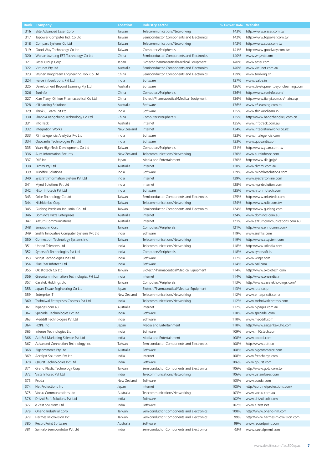| Rank | Company                                     | <b>Location</b> | <b>Industry sector</b>                   | % Growth Rate | Website                           |
|------|---------------------------------------------|-----------------|------------------------------------------|---------------|-----------------------------------|
| 316  | Elite Advanced Laser Corp                   | Taiwan          | Telecommunications/Networking            | 143%          | http://www.elaser.com.tw          |
| 317  | Topower Computer Ind. Co Ltd                | Taiwan          | Semiconductor Components and Electronics | 142%          | http://www.topower.com.tw         |
| 318  | Compass Systems Co Ltd                      | Taiwan          | Telecommunications/Networking            | 142%          | http://www.cpss.com.tw            |
|      |                                             |                 |                                          |               |                                   |
| 319  | Good Way Technology Co Ltd                  | Taiwan          | Computers/Peripherals                    | 141%          | http://www.goodway.com.tw         |
| 320  | Wuhan Juzheng EST Technology Co Ltd         | China           | Semiconductor Components and Electronics | 140%          | www.whjzhb.com                    |
| 321  | Sosei Group Corp                            | Japan           | Biotech/Pharmaceutical/Medical Equipment | 140%          | www.sosei.com                     |
| 322  | Virtunet Pty Ltd                            | Australia       | Semiconductor Components and Electronics | 140%          | www.virtunet.com.au               |
| 323  | Wuhan Kingdream Engineering Tool Co Ltd     | China           | Semiconductor Components and Electronics | 139%          | www.toolking.cn                   |
| 324  | Ivalue infosolutions Pvt Ltd                | India           | Software                                 | 137%          | www.ivalue.in                     |
| 325  | Development Beyond Learning Pty Ltd         | Australia       | Software                                 | 136%          | www.developmentbeyondlearning.com |
|      |                                             |                 |                                          |               |                                   |
| 326  | Suninfo                                     | China           | Computers/Peripherals                    | 136%          | http://www.suninfo.com/           |
| 327  | Xian Tianyi Qinkun Pharmaceutical Co Ltd    | China           | Biotech/Pharmaceutical/Medical Equipment | 136%          | http://www.tianyi.com.cn/main.asp |
| 328  | e3Learning Solutions                        | Australia       | Software                                 | 136%          | www.e3learning.com.au             |
| 329  | Think & Learn Pvt Ltd                       | India           | Software                                 | 135%          | www.thinkandlearn.in              |
| 330  | Shannxi BangZheng Technology Co Ltd         | China           | Computers/Peripherals                    | 135%          | http://www.bangzhengkeji.com.cn   |
| 331  | InfoTrack                                   | Australia       | Internet                                 | 135%          | www.infotrack.com.au              |
| 332  | Integration Works                           | New Zealand     | Internet                                 | 134%          | www.integrationworks.co.nz        |
|      |                                             |                 |                                          |               |                                   |
| 333  | PS Intelegencia Analytics Pvt Ltd           | India           | Software                                 | 133%          | www.intelegencia.com              |
| 334  | Quovantis Technologies Pvt Ltd              | India           | Software                                 | 133%          | www.quovantis.com                 |
| 335  | Yuan High-Tech Development Co Ltd           | Taiwan          | Computers/Peripherals                    | 131%          | http://www.yuan.com.tw            |
| 336  | Aura Information Security                   | New Zealand     | Telecommunications/Networking            | 130%          | www.aurainfosec.com               |
| 337  | DLE Inc                                     | Japan           | Media and Entertainment                  | 130%          | http://www.dle.jp/jp/             |
| 338  | Dimmi Pty Ltd                               | Australia       | Internet                                 | 130%          | www.dimmi.com.au                  |
|      |                                             |                 |                                          |               |                                   |
| 339  | Mindfire Solutions                          | India           | Software                                 | 129%          | www.mindfiresolutions.com         |
| 340  | Syscraft Information System Pvt Ltd         | India           | Internet                                 | 129%          | www.syscraftonline.com            |
| 341  | Mynd Solutions Pvt Ltd                      | India           | Internet                                 | 128%          | www.myndsolution.com              |
| 342  | Nitor Infotech Pvt Ltd                      | India           | Software                                 | 125%          | www.nitorinfotech.com             |
| 343  | Orise Technology Co Ltd                     | Taiwan          | Semiconductor Components and Electronics | 125%          | http://www.orisetech.com          |
| 344  | Nichidenbo Corp                             | Taiwan          | Telecommunications/Networking            | 124%          | http://www.ndb.com.tw             |
| 345  | Gudeng Precision Industrial Co Ltd          | Taiwan          | Semiconductor Components and Electronics | 124%          | http://www.gudeng.com             |
|      |                                             |                 |                                          |               |                                   |
| 346  | Domino's Pizza Enterprises                  | Australia       | Internet                                 | 124%          | www.dominos.com.au                |
| 347  | Azzurri Communications                      | Australia       | Internet                                 | 121%          | www.azzurricommunications.com.au  |
| 348  | Ennoconn Corp                               | Taiwan          | Computers/Peripherals                    | 121%          | http://www.ennoconn.com/          |
| 349  | Srishti Innovative Computer Systems Pvt Ltd | India           | Software                                 | 119%          | www.srishtis.com                  |
| 350  | Connection Technology Systems Inc           | Taiwan          | Telecommunications/Networking            | 119%          | http://www.ctsystem.com           |
| 351  | United Telecoms Ltd                         | India           | Telecommunications/Networking            | 118%          | http://www.utlindia.com           |
| 352  | Synersoft Technologies Pvt Ltd              | India           | Computers/Peripherals                    | 118%          | www.synersoft.in                  |
|      |                                             |                 |                                          |               |                                   |
| 353  | Winjit Technologies Pvt Ltd                 | India           | Software                                 | 117%          | www.winjit.com                    |
| 354  | Blue Star Infotech Ltd                      | India           | Software                                 | 114%          | www.bsil.com                      |
| 355  | OK Biotech Co Ltd                           | Taiwan          | Biotech/Pharmaceutical/Medical Equipment | 114%          | http://www.okbiotech.com          |
| 356  | Greynium Information Technologies Pvt Ltd   | India           | Internet                                 | 114%          | http://www.oneindia.in            |
| 357  | Casetek Holdings Ltd                        | Taiwan          | Computers/Peripherals                    | 113%          | http://www.casetekholdings.com/   |
| 358  | Japan Tissue Engineering Co Ltd             | Japan           | Biotech/Pharmaceutical/Medical Equipment | 113%          | www.jpte.co.jp                    |
| 359  | Enterprise IT                               | New Zealand     | Telecommunications/Networking            | 112%          | www.enterpriseit.co.nz            |
|      |                                             |                 |                                          |               |                                   |
| 360  | Toshniwal Enterprises Controls Pvt Ltd      | India           | Telecommunications/Networking            | 112%          | www.toshniwalcontrols.com         |
| 361  | hipages.com.au                              | Australia       | Internet                                 | 112%          | www.hipages.com.au                |
| 362  | Specadel Technologies Pvt Ltd               | India           | Software                                 | 110%          | www.specadel.com                  |
| 363  | Meddiff Technologies Pvt Ltd                | India           | Software                                 | 110%          | www.meddiff.com                   |
| 364  | HOPE Inc                                    | Japan           | Media and Entertainment                  | 110%          | http://www.zaigenkakuho.com       |
| 365  | Intense Technologies Ltd                    | India           | Software                                 | 109%          | www.in10stech.com                 |
|      |                                             | India           | Media and Entertainment                  | 108%          | www.adoroi.com                    |
| 366  | AdoRoi Marketing Science Pvt Ltd            |                 |                                          |               |                                   |
| 367  | Advanced Connection Technology Inc          | Taiwan          | Semiconductor Components and Electronics | 108%          | http://www.actt.co                |
| 368  | <b>Bigcommerce Pty Ltd</b>                  | Australia       | Software                                 | 108%          | www.bigcommerce.com               |
| 369  | Accelyst Solutions Pvt Ltd                  | India           | Internet                                 | 108%          | www.freecharge.com                |
| 370  | QBurst Technologies Pvt Ltd                 | India           | Software                                 | 106%          | www.qburst.com                    |
| 371  | Grand Plastic Technology Corp               | Taiwan          | Semiconductor Components and Electronics | 106%          | http://www.gptc.com.tw            |
| 372  | Vista Infosec Pvt Ltd                       | India           | Telecommunications/Networking            | 106%          | www.vistainfosec.com              |
|      |                                             | New Zealand     |                                          |               |                                   |
| 373  | Psoda                                       |                 | Software                                 | 105%          | www.psoda.com                     |
| 374  | Net Protections Inc                         | Japan           | Internet                                 | 105%          | http://corp.netprotections.com/   |
| 375  | Vocus Communications Ltd                    | Australia       | Telecommunications/Networking            | 103%          | www.vocus.com.au                  |
| 376  | Drishti-Soft Solutions Pvt Ltd              | India           | Software                                 | 102%          | www.drishti-soft.com              |
| 377  | e-Zest Solutions Ltd                        | India           | Software                                 | 102%          | www.e-zest.net                    |
| 378  | Onano Industrial Corp                       | Taiwan          | Semiconductor Components and Electronics | 100%          | http://www.onano-nm.com           |
| 379  | Hermes Microvision Inc                      | Taiwan          | Semiconductor Components and Electronics | 99%           | http://www.hermes-microvision.com |
| 380  | RecordPoint Software                        | Australia       | Software                                 | 99%           | www.recordpoint.com               |
|      |                                             |                 |                                          |               |                                   |
| 381  | Sankalp Semicondutor Pvt Ltd                | India           | Semiconductor Components and Electronics | 98%           | www.sankalpsemi.com               |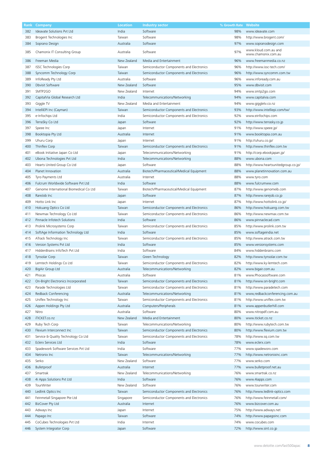| Kank | Company                                | Location    | <b>Industry sector</b>                   | % Growth Rate | <b>Website</b>                              |
|------|----------------------------------------|-------------|------------------------------------------|---------------|---------------------------------------------|
| 382  | Ideavate Solutions Pvt Ltd             | India       | Software                                 | 98%           | www.ideavate.com                            |
| 383  | Brogent Technologies Inc               | Taiwan      | Software                                 | 98%           | http://www.brogent.com/                     |
| 384  | Soprano Design                         | Australia   | Software                                 | 97%           | www.sopranodesign.com                       |
|      |                                        |             |                                          |               |                                             |
| 385  | Chamonix IT Consulting Group           | Australia   | Software                                 | 97%           | www.kloud.com.au and<br>www.chamonix.com.au |
|      |                                        |             |                                          |               |                                             |
| 386  | Freeman Media                          | New Zealand | Media and Entertainment                  | 96%           | www.freemanmedia.co.nz                      |
| 387  | ISSC Technologies Corp                 | Taiwan      | Semiconductor Components and Electronics | 96%           | http://www.issc-tech.com/                   |
| 388  | Syncomm Technology Corp                | Taiwan      | Semiconductor Components and Electronics | 96%           | http://www.syncomm.com.tw                   |
| 389  | InfoReady Pty Ltd                      | Australia   | Software                                 | 96%           | www.infoready.com.au                        |
| 390  | Dbvisit Software                       | New Zealand | Software                                 | 95%           | www.dbvisit.com                             |
| 391  | SMTP2GO                                | New Zealand | Internet                                 | 94%           |                                             |
|      |                                        |             |                                          |               | www.smtp2go.com                             |
| 392  | CapitalVia Global Research Ltd         | India       | Telecommunications/Networking            | 94%           | www.capitalvia.com                          |
| 393  | Giggle TV                              | New Zealand | Media and Entertainment                  | 94%           | www.giggletv.co.nz                          |
| 394  | IntelliEPI Inc (Cayman)                | Taiwan      | Semiconductor Components and Electronics | 93%           | http://www.intelliepi.com/tw/               |
| 395  | e-Infochips Ltd                        | India       | Semiconductor Components and Electronics | 92%           | www.einfochips.com                          |
| 396  | TerraSky Co Ltd                        | Japan       | Software                                 | 92%           | http://www.terrasky.co.jp                   |
|      |                                        |             |                                          |               |                                             |
| 397  | Speee Inc                              | Japan       | Internet                                 | 91%           | http://www.speee.jp/                        |
| 398  | Booktopia Pty Ltd                      | Australia   | Internet                                 | 91%           | www.booktopia.com.au                        |
| 399  | Uhuru Corp                             | Japan       | Internet                                 | 91%           | http://uhuru.co.jp/                         |
| 400  | Thinflex Corp                          | Taiwan      | Semiconductor Components and Electronics | 91%           | http://www.thinflex.com.tw                  |
| 401  | eBook Initiative Japan Co Ltd          | Japan       | Telecommunications/Networking            | 91%           | http://corp.ebookjapan.jp/                  |
|      | Ubona Technologies Pvt Ltd             | India       |                                          | 88%           | www.ubona.com                               |
| 402  |                                        |             | Telecommunications/Networking            |               |                                             |
| 403  | Hearts United Group Co Ltd             | Japan       | Software                                 | 88%           | http://www.heartsunitedgroup.co.jp/         |
| 404  | Planet Innovation                      | Australia   | Biotech/Pharmaceutical/Medical Equipment | 88%           | www.planetinnovation.com.au                 |
| 405  | Tyro Payments Ltd                      | Australia   | Internet                                 | 88%           | www.tyro.com                                |
| 406  | Fulcrum Worldwide Software Pvt Ltd     | India       | Software                                 | 88%           | www.fulcrumww.com                           |
| 407  | Genome International Biomedical Co Ltd | Taiwan      | Biotech/Pharmaceutical/Medical Equipment | 87%           | http://www.genomeib.com                     |
|      |                                        |             |                                          |               |                                             |
| 408  | RareJob Inc                            | Japan       | Software                                 | 87%           | http://www.rarejob.co.jp                    |
| 409  | Hotto Link Inc                         | Japan       | Internet                                 | 87%           | http://www.hottolink.co.jp/                 |
| 410  | Hokuang Optics Co Ltd                  | Taiwan      | Semiconductor Components and Electronics | 86%           | http://www.hokuang.com.tw                   |
| 411  | Newmax Technology Co Ltd               | Taiwan      | Semiconductor Components and Electronics | 86%           | http://www.newmax.com.tw                    |
| 412  | Pinnacle Infotech Solutions            | India       | Software                                 | 86%           | www.pinnaclecad.com                         |
| 413  | Prolink Microsystems Corp              | Taiwan      | Semiconductor Components and Electronics | 85%           | http://www.prolink.com.tw                   |
|      |                                        |             |                                          |               |                                             |
| 414  | SoftAge Information Technology Ltd     | India       | Software                                 | 85%           | www.softageindia.net                        |
| 415  | ATrack Technology Inc                  | Taiwan      | Semiconductor Components and Electronics | 85%           | http://www.atrack.com.tw                    |
| 416  | Version Systems Pvt Ltd                | India       | Software                                 | 85%           | www.versionsystems.com                      |
| 417  | HiddenBrains InfoTech Pvt Ltd          | India       | Software                                 | 84%           | www.hiddenbrains.com                        |
| 418  | <b>Tynsolar Corp</b>                   | Taiwan      | Green Technology                         | 82%           | http://www.tynsolar.com.tw                  |
| 419  |                                        | Taiwan      |                                          | 82%           |                                             |
|      | Lemtech Holdings Co Ltd                |             | Semiconductor Components and Electronics |               | http://www.ky-lemtech.com                   |
| 420  | BigAir Group Ltd                       | Australia   | Telecommunications/Networking            | 82%           | www.bigair.com.au                           |
| 421  | Phocas                                 | Australia   | Software                                 | 81%           | www.Phocassoftware.com                      |
| 422  | On-Bright Electronics Incorporated     | Taiwan      | Semiconductor Components and Electronics | 81%           | http://www.on-bright.com                    |
| 423  | Parade Technologies Ltd                | Taiwan      | Semiconductor Components and Electronics | 81%           | http://www.paradetech.com                   |
| 424  | Redback Conferencing                   | Australia   | Telecommunications/Networking            | 81%           | www,redbackconferencing.com.au              |
|      |                                        |             |                                          |               |                                             |
| 425  | Uniflex Technology Inc                 | Taiwan      | Semiconductor Components and Electronics | 81%           | http://www.uniflex.com.tw                   |
| 426  | Appen Holdings Pty Ltd                 | Australia   | Computers/Peripherals                    | 81%           | www.appenbutlerhill.com                     |
| 427  | Nitro                                  | Australia   | Software                                 | 80%           | www.nitropdf.com.au                         |
| 428  | iTICKET.co.nz                          | New Zealand | Media and Entertainment                  | 80%           | www.iticket.co.nz                           |
| 429  | Ruby Tech Corp                         | Taiwan      | Telecommunications/Networking            | 80%           | http://www.rubytech.com.tw                  |
|      | Flexium Interconnect Inc               | Taiwan      |                                          | 80%           | http://www.flexium.com.tw                   |
| 430  |                                        |             | Semiconductor Components and Electronics |               |                                             |
| 431  | Service & Quality Technology Co Ltd    | Taiwan      | Semiconductor Components and Electronics | 78%           | http://www.sq.com.tw                        |
| 432  | Eclerx Services Ltd                    | India       | Software                                 | 78%           | www.eclerx.com                              |
| 433  | Spadework Software Services Pvt Ltd    | India       | Software                                 | 77%           | www.spadeworx.com                           |
| 434  | Netronix Inc                           | Taiwan      | Telecommunications/Networking            | 77%           | http://www.netronixinc.com                  |
| 435  | Serko                                  | New Zealand | Software                                 | 77%           | www.serko.com                               |
|      |                                        |             |                                          |               |                                             |
| 436  | Bulletproof                            | Australia   | Internet                                 | 77%           | www.bulletproof.net.au                      |
| 437  | Smartrak                               | New Zealand | Telecommunications/Networking            | 76%           | www.smartrak.co.nz                          |
| 438  | 4i Apps Solutions Pvt Ltd              | India       | Software                                 | 76%           | www.4iapps.com                              |
| 439  | TourWriter                             | New Zealand | Software                                 | 76%           | www.tourwriter.com                          |
| 440  | Ledlink Optics Inc                     | Taiwan      | Semiconductor Components and Electronics | 76%           | http://www.ledlink-optics.com               |
|      |                                        |             |                                          |               |                                             |
| 441  | Feinmetall Singapore Pte Ltd           | Singapore   | Semiconductor Components and Electronics | 76%           | http://www.feinmetall.com/                  |
| 442  | BizCover Pty Ltd                       | Australia   | Internet                                 | 76%           | www.bizcover.com.au                         |
| 443  | Adways Inc                             | Japan       | Internet                                 | 75%           | http://www.adways.net                       |
| 444  | Papago Inc                             | Taiwan      | Software                                 | 74%           | http://www.papagoinc.com                    |
| 445  | CoCubes Technologies Pvt Ltd           | India       | Internet                                 | 74%           | www.cocubes.com                             |
| 446  | System Integrator Corp                 |             | Software                                 | 72%           |                                             |
|      |                                        | Japan       |                                          |               | http://www.sint.co.jp                       |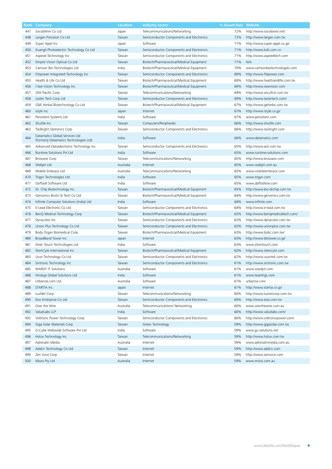| Rank | Company                                                                  | Location  | <b>Industry sector</b>                   | % Growth Rate | <b>Website</b>                  |
|------|--------------------------------------------------------------------------|-----------|------------------------------------------|---------------|---------------------------------|
| 447  | SocialWire Co Ltd                                                        | Japan     | Telecommunications/Networking            | 72%           | http://www.socialwire.net/      |
| 448  | Largan Precision Co Ltd                                                  | Taiwan    | Semiconductor Components and Electronics | 72%           | http://www.largan.com.tw        |
| 449  | Super Appli Inc                                                          | Japan     | Software                                 | 71%           | http://www.super-appli.co.jp/   |
| 450  | Kuangli Photoelectric Technology Co Ltd                                  | Taiwan    | Semiconductor Components and Electronics | 71%           | http://www.kskl.com.cn          |
| 451  | Aspeed Technology Inc                                                    | Taiwan    | Semiconductor Components and Electronics | 71%           | http://www.aspeedtech.com       |
| 452  | Empire Vision Optical Co Ltd                                             | Taiwan    | Biotech/Pharmaceutical/Medical Equipment | 71%           | N/A                             |
| 453  | Camson Bio Technologies Ltd                                              | India     | Biotech/Pharmaceutical/Medical Equipment | 70%           | www.camsonbiotechnologies.com   |
| 454  | Fitipower Integrated Technology Inc                                      | Taiwan    | Semiconductor Components and Electronics | 69%           | http://www.fitipower.com        |
| 455  | Health & Life Co Ltd                                                     | Taiwan    | Biotech/Pharmaceutical/Medical Equipment | 69%           | http://www.healthandlife.com.tw |
| 456  | I-See Vision Technology Inc                                              | Taiwan    | Biotech/Pharmaceutical/Medical Equipment | 69%           | http://www.iseevision.com       |
| 457  | JSW Pacific Corp                                                         | Taiwan    | Telecommunications/Networking            | 69%           | http://www.secufirst.com.tw     |
| 458  | Laster Tech Corp Ltd                                                     | Taiwan    | Semiconductor Components and Electronics | 69%           | http://www.lastertech.com/      |
| 459  | G&E Herbal Biotechnology Co Ltd                                          | Taiwan    | Biotech/Pharmaceutical/Medical Equipment | 67%           | http://www.geherbs.com.tw       |
| 460  | istyle Inc                                                               | Japan     | Internet                                 | 67%           | http://www.istyle.co.jp/        |
| 461  | Persistent Systems Ltd                                                   | India     | Software                                 | 67%           | www.persistent.com              |
| 462  | Shuttle Inc                                                              | Taiwan    | Computers/Peripherals                    | 66%           | http://www.shuttle.com          |
| 463  | TacBright Optronics Corp                                                 | Taiwan    | Semiconductor Components and Electronics | 66%           | http://www.tacbright.com        |
| 464  | Datamatics Global Services Ltd<br>(formerly Datamatics Technologies Ltd) | India     | Software                                 | 66%           | www.datamatics.com              |
| 465  | Advanced Optoelectronic Technology Inc                                   | Taiwan    | Semiconductor Components and Electronics | 65%           | http://www.aot.com.tw           |
| 466  | Runtime Solutions Pvt Ltd                                                | India     | Software                                 | 65%           | www.runtime-solutions.com       |
| 467  | <b>Browave Corp</b>                                                      | Taiwan    | Telecommunications/Networking            | 65%           | http://www.browave.com          |
| 468  | Webjet Ltd                                                               | Australia | Internet                                 | 65%           | www.webjet.com.au               |
| 469  | Mobile Embrace Ltd                                                       | Australia | Telecommunications/Networking            | 65%           | www.mobileembrace.com           |
| 470  | Trigyn Technologies Ltd                                                  | India     | Software                                 | 65%           | www.trigyn.com                  |
| 471  | Daffodil Software Ltd                                                    | India     | Software                                 | 65%           | www.daffodilsw.com              |
| 472  | Dr. Chip Biotechnology Inc                                               | Taiwan    | Biotech/Pharmaceutical/Medical Equipment | 65%           | http://www.bio-drchip.com.tw    |
| 473  | Genomics BioSci & Tech Co Ltd                                            | Taiwan    | Biotech/Pharmaceutical/Medical Equipment | 64%           | http://www.genomics.com.tw      |
| 474  | Infinite Computer Solutions (India) Ltd                                  | India     | Software                                 | 64%           | www.infinite.com                |
| 475  | E-Lead Electronic Co Ltd                                                 | Taiwan    | Semiconductor Components and Electronics | 64%           | http://www.e-lead.com.tw        |
| 476  | BenQ Medical Technology Corp                                             | Taiwan    | Biotech/Pharmaceutical/Medical Equipment | 63%           | http://www.benqmedicaltech.com/ |
| 477  | Dynacolor Inc                                                            | Taiwan    | Semiconductor Components and Electronics | 63%           | http://www.dynacolor.com.tw     |
| 478  | Union Plus Technology Co Ltd                                             | Taiwan    | Semiconductor Components and Electronics | 63%           | http://www.unionplus.com.tw     |
|      |                                                                          |           |                                          |               |                                 |
| 479  | Body Organ Biomedical Corp                                               | Taiwan    | Biotech/Pharmaceutical/Medical Equipment | 63%           | http://www.bobc.com.tw/         |
| 480  | BroadBand Tower Inc                                                      | Japan     | Internet                                 | 63%           | http://www.bbtower.co.jp/       |
| 481  | Silver Touch Technologies Ltd                                            | India     | Software                                 | 63%           | www.silvertouch.com             |
| 482  | StemCyte International Inc                                               | Taiwan    | Biotech/Pharmaceutical/Medical Equipment | 62%           | http://www.stemcyte.com         |
| 483  | Usun Technology Co Ltd                                                   | Taiwan    | Semiconductor Components and Electronics | 62%           | http://www.usuntek.com.tw       |
| 484  | Sintronic Technology Inc                                                 | Taiwan    | Semiconductor Components and Electronics | 61%           | http://www.sintronic.com.tw     |
| 485  | <b>WARDY IT Solutions</b>                                                | Australia | Software                                 | 61%           | www.wardyit.com                 |
| 486  | Hinduja Global Solutions Ltd                                             | India     | Software                                 | 61%           | www.teamhgs.com                 |
| 487  | Urbanise.com Ltd                                                         | Australia | Software                                 | 61%           | urbanise.com                    |
| 488  | STARTIA Inc                                                              | Japan     | Internet                                 | 61%           | http://www.startia.co.jp/       |
| 489  | LuxNet Corp                                                              | Taiwan    | Telecommunications/Networking            | 60%           | http://www.luxnetcorp.com.tw    |
| 490  | Eiso Enterprise Co Ltd                                                   | Taiwan    | Semiconductor Components and Electronics | 60%           | http://www.eiso.com.tw          |
| 491  | Over the Wire                                                            | Australia | Telecommunications/ Networking           | 60%           | www.overthewire.com.au          |
| 492  | ValueLabs LLP                                                            | India     | Software                                 | 60%           | http://www.valuelabs.com/       |
| 493  | Voltronic Power Technology Corp                                          | Taiwan    | Semiconductor Components and Electronics | 60%           | http://www.voltronicpower.com/  |
| 494  | Giga Solar Materials Corp                                                | Taiwan    | Green Technology                         | 59%           | http://www.gigasolar.com.tw     |
| 495  | G-Cube Webwide Software Pvt Ltd                                          | India     | Software                                 | 59%           | www.gc-solutions.net            |
| 496  | Holux Technology Inc                                                     | Taiwan    | Telecommunications/Networking            | 59%           | http://www.holux.com.tw         |
| 497  | Adrenalin Media                                                          | Australia | Internet                                 | 59%           | www.adrenalinmedia.com.au       |
| 498  | Addcn Technology Co Ltd                                                  | Taiwan    | Internet                                 | 59%           | http://www.addcn.com            |
| 499  | Zen Voce Corp                                                            | Taiwan    | Internet                                 | 59%           | http://www.zenvoce.com          |
| 500  | Mozo Pty Ltd                                                             | Australia | Internet                                 | 59%           | www.mozo.com.au                 |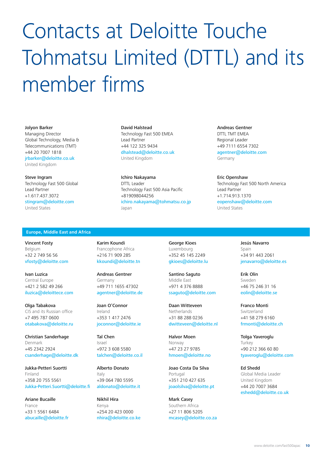# Contacts at Deloitte Touche Tohmatsu Limited (DTTL) and its member firms

#### Jolyon Barker

Managing Director Global Technology, Media & Telecommunications (TMT) +44 20 7007 1818 jrbarker@deloitte.co.uk United Kingdom

### Steve Ingram

Technology Fast 500 Global Lead Partner +1.617.437.3072 stingram@deloitte.com United States

#### David Halstead

Technology Fast 500 EMEA Lead Partner +44 122 325 9434 dhalstead@deloitte.co.uk United Kingdom

Ichiro Nakayama DTTL Leader Technology Fast 500 Asia Pacific +819098044256 ichiro.nakayama@tohmatsu.co.jp Japan

### Andreas Gentner DTTL TMT FMFA Regional Leader +49 7111 6554 7302 agentner@deloitte.com Germany

Eric Openshaw Technology Fast 500 North America Lead Partner +1.714.913.1370 eopenshaw@deloitte.com United States

#### **Europe, Middle East and Africa**

Vincent Fosty Belgium +32 2 749 56 56 vfosty@deloitte.com

Ivan Luzica Central Europe +421 2 582 49 266 iluzica@deloittece.com

Olga Tabakova CIS and its Russian office +7 495 787 0600 otabakova@deloitte.ru

Christian Sanderhage Denmark +45 2342 2924 csanderhage@deloitte.dk

Jukka-Petteri Suortti Finland +358 20 755 5561 Jukka-Petteri.Suortti@deloitte.fi

Ariane Bucaille France +33 1 5561 6484 abucaille@deloitte.fr Karim Koundi Francophone Africa +216 71 909 285 kkoundi@deloitte.tn

Andreas Gentner Germany +49 711 1655 47302 agentner@deloitte.de

Joan O'Connor Ireland +353 1 417 2476 joconnor@deloitte.ie

Tal Chen Israel +972 3 608 5580 talchen@deloitte.co.il

Alberto Donato Italy +39 064 780 5595 aldonato@deloitte.it

Nikhil Hira Kenya +254 20 423 0000 nhira@deloitte.co.ke George Kioes Luxembourg +352 45 145 2249 gkioes@deloitte.lu

Santino Saguto Middle East +971 4 376 8888 ssaguto@deloitte.com

Daan Witteveen Netherlands +31 88 288 0236 dwitteveen@deloitte.nl

Halvor Moen Norway +47 23 27 9785 hmoen@deloitte.no

Joao Costa Da Silva Portugal +351 210 427 635 joaolsilva@deloitte.pt

Mark Casey Southern Africa +27 11 806 5205 mcasey@deloitte.co.za Jesús Navarro Spain +34 91 443 2061 jenavarro@deloitte.es

Erik Olin Sweden +46 75 246 31 16 eolin@deloitte.se

Franco Monti Switzerland +41 58 279 6160 frmonti@deloitte.ch

Tolga Yaveroglu Turkey +90 212 366 60 80 tyaveroglu@deloitte.com

Ed Shedd Global Media Leader United Kingdom +44 20 7007 3684 eshedd@deloitte.co.uk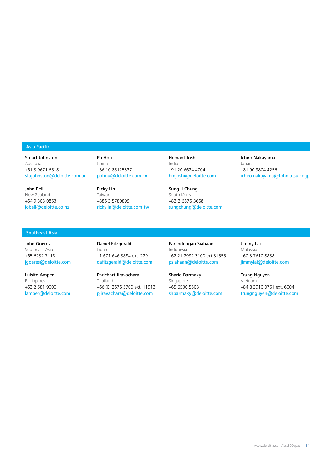### **Asia Pacific**

Stuart Johnston

Australia +61 3 9671 6518 stujohnston@deloitte.com.au

John Bell New Zealand +64 9 303 0853 jobell@deloitte.co.nz Po Hou China +86 10 85125337 pohou@deloitte.com.cn

Ricky Lin Taiwan +886 3 5780899 rickylin@deloitte.com.tw Hemant Joshi India +91 20 6624 4704 hmjoshi@deloitte.com

Sung Il Chung South Korea +82-2-6676-3668 sungchung@deloitte.com

# Ichiro Nakayama

Japan +81 90 9804 4256 ichiro.nakayama@tohmatsu.co.jp

# **Southeast Asia**

John Goeres Southeast Asia +65 6232 7118 jgoeres@deloitte.com

Luisito Amper Philippines +63 2 581 9000 lamper@deloitte.com Daniel Fitzgerald Guam +1 671 646 3884 ext. 229 dafitzgerald@deloitte.com

Parichart Jiravachara Thailand +66 (0) 2676 5700 ext. 11913 pjiravachara@deloitte.com

Parlindungan Siahaan Indonesia +62 21 2992 3100 ext.31555 psiahaan@deloitte.com

Shariq Barmaky

Singapore +65 6530 5508 shbarmaky@deloitte.com Jimmy Lai Malaysia +60 3 7610 8838 jimmylai@deloitte.com

Trung Nguyen Vietnam +84 8 3910 0751 ext. 6004 trungnguyen@deloitte.com